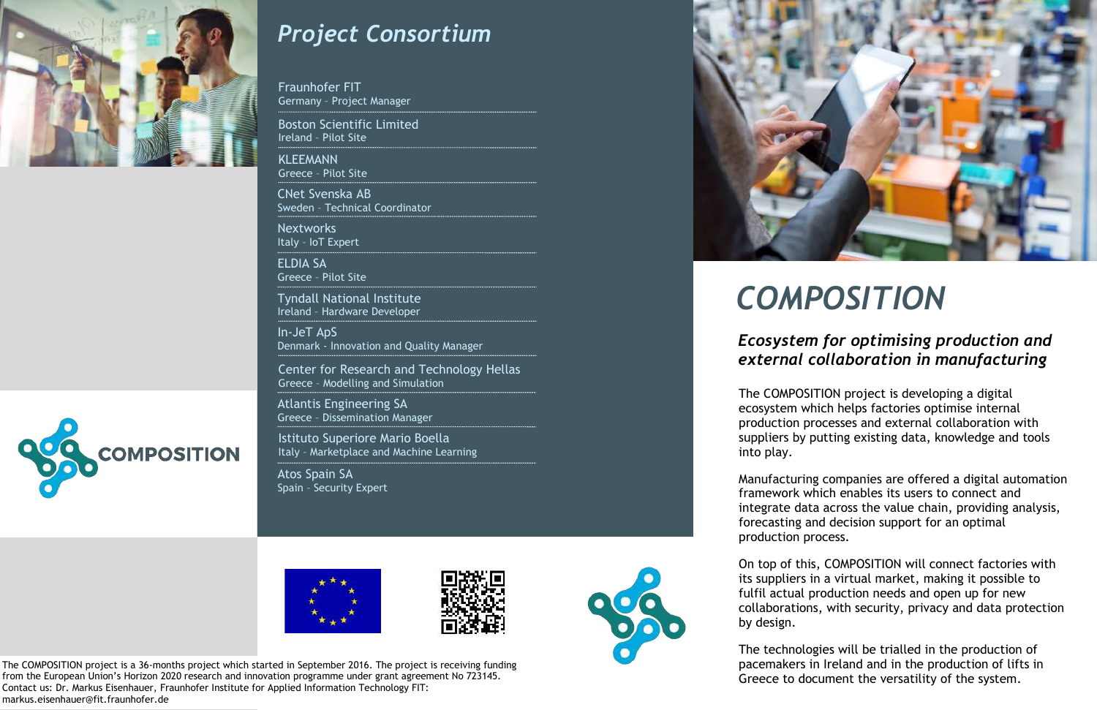



### *Project Consortium*

Fraunhofer FIT Germany – Project Manager

# *COMPOSITION*

### *Ecosystem for optimising production and external collaboration in manufacturing*

The COMPOSITION project is a 36-months project which started in September 2016. The project is receiving funding from the European Union's Horizon 2020 research and innovation programme under grant agreement No 723145. Contact us: Dr. Markus Eisenhauer, Fraunhofer Institute for Applied Information Technology FIT: markus.eisenhauer@fit.fraunhofer.de

Boston Scientific Limited Ireland – Pilot Site

KLEEMANN Greece – Pilot Site

CNet Svenska AB Sweden – Technical Coordinator

Nextworks Italy – IoT Expert

ELDIA SA Greece – Pilot Site

Tyndall National Institute Ireland – Hardware Developer

In-JeT ApS Denmark - Innovation and Quality Manager

Center for Research and Technology Hellas Greece – Modelling and Simulation

Atlantis Engineering SA Greece – Dissemination Manager

Istituto Superiore Mario Boella Italy – Marketplace and Machine Learning

Atos Spain SA Spain – Security Expert









The COMPOSITION project is developing a digital ecosystem which helps factories optimise internal production processes and external collaboration with suppliers by putting existing data, knowledge and tools into play.

Manufacturing companies are offered a digital automation framework which enables its users to connect and integrate data across the value chain, providing analysis, forecasting and decision support for an optimal production process.

On top of this, COMPOSITION will connect factories with its suppliers in a virtual market, making it possible to fulfil actual production needs and open up for new collaborations, with security, privacy and data protection by design.

The technologies will be trialled in the production of pacemakers in Ireland and in the production of lifts in Greece to document the versatility of the system.